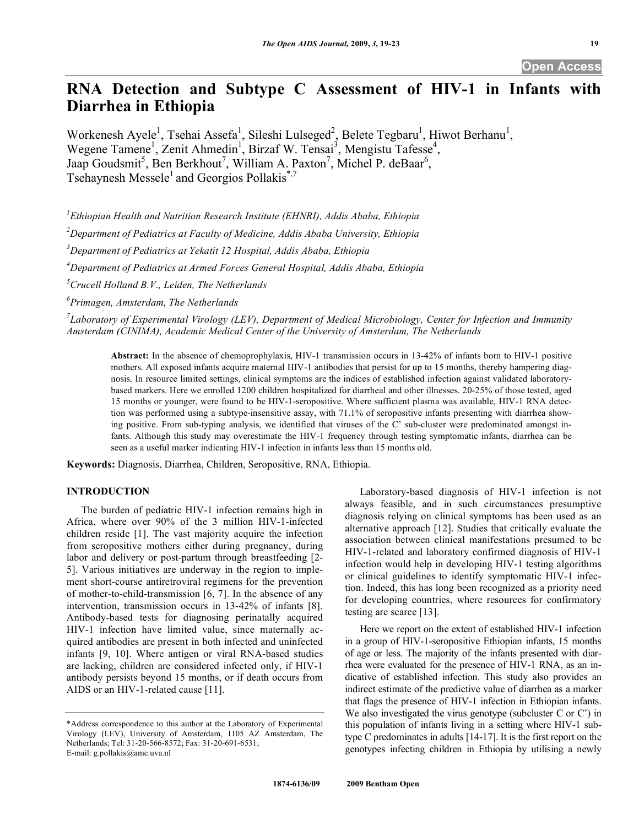# **RNA Detection and Subtype C Assessment of HIV-1 in Infants with Diarrhea in Ethiopia**

Workenesh Ayele<sup>1</sup>, Tsehai Assefa<sup>1</sup>, Sileshi Lulseged<sup>2</sup>, Belete Tegbaru<sup>1</sup>, Hiwot Berhanu<sup>1</sup>, Wegene Tamene<sup>1</sup>, Zenit Ahmedin<sup>1</sup>, Birzaf W. Tensai<sup>3</sup>, Mengistu Tafesse<sup>4</sup>, Jaap Goudsmit<sup>5</sup>, Ben Berkhout<sup>7</sup>, William A. Paxton<sup>7</sup>, Michel P. deBaar<sup>6</sup>, Tsehaynesh Messele<sup>1</sup> and Georgios Pollakis<sup>\*,7</sup>

 *Ethiopian Health and Nutrition Research Institute (EHNRI), Addis Ababa, Ethiopia Department of Pediatrics at Faculty of Medicine, Addis Ababa University, Ethiopia Department of Pediatrics at Yekatit 12 Hospital, Addis Ababa, Ethiopia Department of Pediatrics at Armed Forces General Hospital, Addis Ababa, Ethiopia Crucell Holland B.V., Leiden, The Netherlands Primagen, Amsterdam, The Netherlands* 

*7 Laboratory of Experimental Virology (LEV), Department of Medical Microbiology, Center for Infection and Immunity Amsterdam (CINIMA), Academic Medical Center of the University of Amsterdam, The Netherlands* 

**Abstract:** In the absence of chemoprophylaxis, HIV-1 transmission occurs in 13-42% of infants born to HIV-1 positive mothers. All exposed infants acquire maternal HIV-1 antibodies that persist for up to 15 months, thereby hampering diagnosis. In resource limited settings, clinical symptoms are the indices of established infection against validated laboratorybased markers. Here we enrolled 1200 children hospitalized for diarrheal and other illnesses. 20-25% of those tested, aged 15 months or younger, were found to be HIV-1-seropositive. Where sufficient plasma was available, HIV-1 RNA detection was performed using a subtype-insensitive assay, with 71.1% of seropositive infants presenting with diarrhea showing positive. From sub-typing analysis, we identified that viruses of the C' sub-cluster were predominated amongst infants. Although this study may overestimate the HIV-1 frequency through testing symptomatic infants, diarrhea can be seen as a useful marker indicating HIV-1 infection in infants less than 15 months old.

**Keywords:** Diagnosis, Diarrhea, Children, Seropositive, RNA, Ethiopia.

## **INTRODUCTION**

 The burden of pediatric HIV-1 infection remains high in Africa, where over 90% of the 3 million HIV-1-infected children reside [1]. The vast majority acquire the infection from seropositive mothers either during pregnancy, during labor and delivery or post-partum through breastfeeding [2-5]. Various initiatives are underway in the region to implement short-course antiretroviral regimens for the prevention of mother-to-child-transmission [6, 7]. In the absence of any intervention, transmission occurs in 13-42% of infants [8]. Antibody-based tests for diagnosing perinatally acquired HIV-1 infection have limited value, since maternally acquired antibodies are present in both infected and uninfected infants [9, 10]. Where antigen or viral RNA-based studies are lacking, children are considered infected only, if HIV-1 antibody persists beyond 15 months, or if death occurs from AIDS or an HIV-1-related cause [11].

 Laboratory-based diagnosis of HIV-1 infection is not always feasible, and in such circumstances presumptive diagnosis relying on clinical symptoms has been used as an alternative approach [12]. Studies that critically evaluate the association between clinical manifestations presumed to be HIV-1-related and laboratory confirmed diagnosis of HIV-1 infection would help in developing HIV-1 testing algorithms or clinical guidelines to identify symptomatic HIV-1 infection. Indeed, this has long been recognized as a priority need for developing countries, where resources for confirmatory testing are scarce [13].

 Here we report on the extent of established HIV-1 infection in a group of HIV-1-seropositive Ethiopian infants, 15 months of age or less. The majority of the infants presented with diarrhea were evaluated for the presence of HIV-1 RNA, as an indicative of established infection. This study also provides an indirect estimate of the predictive value of diarrhea as a marker that flags the presence of HIV-1 infection in Ethiopian infants. We also investigated the virus genotype (subcluster C or C') in this population of infants living in a setting where HIV-1 subtype C predominates in adults [14-17]. It is the first report on the genotypes infecting children in Ethiopia by utilising a newly

<sup>\*</sup>Address correspondence to this author at the Laboratory of Experimental Virology (LEV), University of Amsterdam, 1105 AZ Amsterdam, The Netherlands; Tel: 31-20-566-8572; Fax: 31-20-691-6531; E-mail: g.pollakis@amc.uva.nl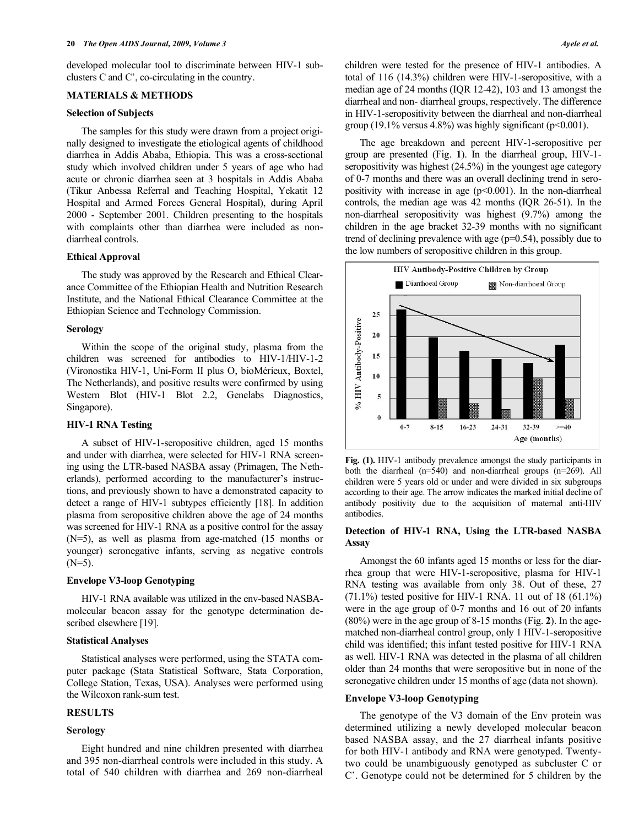developed molecular tool to discriminate between HIV-1 subclusters C and C', co-circulating in the country.

#### **MATERIALS & METHODS**

# **Selection of Subjects**

 The samples for this study were drawn from a project originally designed to investigate the etiological agents of childhood diarrhea in Addis Ababa, Ethiopia. This was a cross-sectional study which involved children under 5 years of age who had acute or chronic diarrhea seen at 3 hospitals in Addis Ababa (Tikur Anbessa Referral and Teaching Hospital, Yekatit 12 Hospital and Armed Forces General Hospital), during April 2000 - September 2001. Children presenting to the hospitals with complaints other than diarrhea were included as nondiarrheal controls.

# **Ethical Approval**

 The study was approved by the Research and Ethical Clearance Committee of the Ethiopian Health and Nutrition Research Institute, and the National Ethical Clearance Committee at the Ethiopian Science and Technology Commission.

#### **Serology**

 Within the scope of the original study, plasma from the children was screened for antibodies to HIV-1/HIV-1-2 (Vironostika HIV-1, Uni-Form II plus O, bioMérieux, Boxtel, The Netherlands), and positive results were confirmed by using Western Blot (HIV-1 Blot 2.2, Genelabs Diagnostics, Singapore).

## **HIV-1 RNA Testing**

 A subset of HIV-1-seropositive children, aged 15 months and under with diarrhea, were selected for HIV-1 RNA screening using the LTR-based NASBA assay (Primagen, The Netherlands), performed according to the manufacturer's instructions, and previously shown to have a demonstrated capacity to detect a range of HIV-1 subtypes efficiently [18]. In addition plasma from seropositive children above the age of 24 months was screened for HIV-1 RNA as a positive control for the assay (N=5), as well as plasma from age-matched (15 months or younger) seronegative infants, serving as negative controls  $(N=5)$ .

# **Envelope V3-loop Genotyping**

 HIV-1 RNA available was utilized in the env-based NASBAmolecular beacon assay for the genotype determination described elsewhere [19].

# **Statistical Analyses**

 Statistical analyses were performed, using the STATA computer package (Stata Statistical Software, Stata Corporation, College Station, Texas, USA). Analyses were performed using the Wilcoxon rank-sum test.

# **RESULTS**

#### **Serology**

 Eight hundred and nine children presented with diarrhea and 395 non-diarrheal controls were included in this study. A total of 540 children with diarrhea and 269 non-diarrheal children were tested for the presence of HIV-1 antibodies. A total of 116 (14.3%) children were HIV-1-seropositive, with a median age of 24 months (IQR 12-42), 103 and 13 amongst the diarrheal and non- diarrheal groups, respectively. The difference in HIV-1-seropositivity between the diarrheal and non-diarrheal group (19.1% versus 4.8%) was highly significant ( $p<0.001$ ).

 The age breakdown and percent HIV-1-seropositive per group are presented (Fig. **1**). In the diarrheal group, HIV-1 seropositivity was highest (24.5%) in the youngest age category of 0-7 months and there was an overall declining trend in seropositivity with increase in age  $(p<0.001)$ . In the non-diarrheal controls, the median age was 42 months (IQR 26-51). In the non-diarrheal seropositivity was highest (9.7%) among the children in the age bracket 32-39 months with no significant trend of declining prevalence with age (p=0.54), possibly due to the low numbers of seropositive children in this group.



**Fig. (1).** HIV-1 antibody prevalence amongst the study participants in both the diarrheal (n=540) and non-diarrheal groups (n=269). All children were 5 years old or under and were divided in six subgroups according to their age. The arrow indicates the marked initial decline of antibody positivity due to the acquisition of maternal anti-HIV antibodies.

## **Detection of HIV-1 RNA, Using the LTR-based NASBA Assay**

 Amongst the 60 infants aged 15 months or less for the diarrhea group that were HIV-1-seropositive, plasma for HIV-1 RNA testing was available from only 38. Out of these, 27  $(71.1\%)$  tested positive for HIV-1 RNA. 11 out of 18 (61.1%) were in the age group of 0-7 months and 16 out of 20 infants (80%) were in the age group of 8-15 months (Fig. **2**). In the agematched non-diarrheal control group, only 1 HIV-1-seropositive child was identified; this infant tested positive for HIV-1 RNA as well. HIV-1 RNA was detected in the plasma of all children older than 24 months that were seropositive but in none of the seronegative children under 15 months of age (data not shown).

# **Envelope V3-loop Genotyping**

 The genotype of the V3 domain of the Env protein was determined utilizing a newly developed molecular beacon based NASBA assay, and the 27 diarrheal infants positive for both HIV-1 antibody and RNA were genotyped. Twentytwo could be unambiguously genotyped as subcluster C or C'. Genotype could not be determined for 5 children by the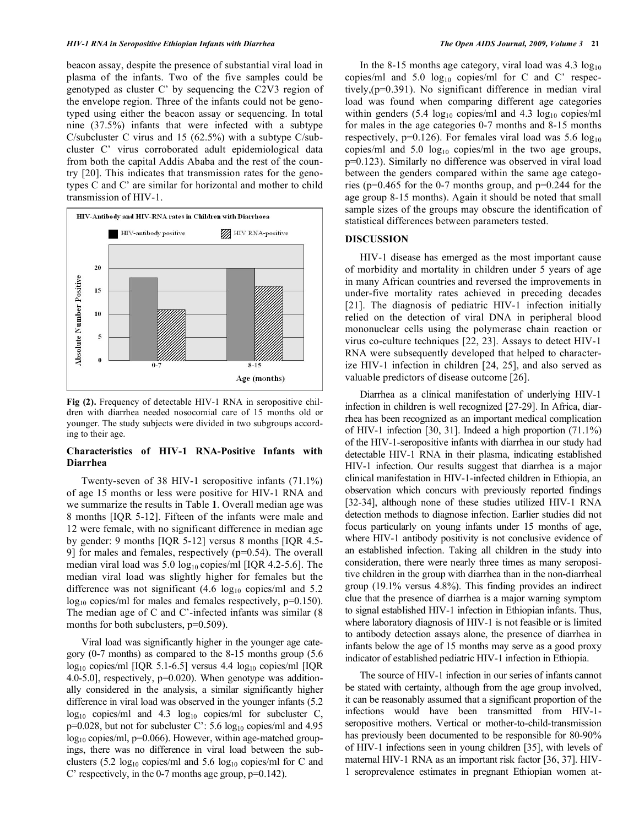beacon assay, despite the presence of substantial viral load in plasma of the infants. Two of the five samples could be genotyped as cluster C' by sequencing the C2V3 region of the envelope region. Three of the infants could not be genotyped using either the beacon assay or sequencing. In total nine (37.5%) infants that were infected with a subtype C/subcluster C virus and 15 (62.5%) with a subtype C/subcluster C' virus corroborated adult epidemiological data from both the capital Addis Ababa and the rest of the country [20]. This indicates that transmission rates for the genotypes C and C' are similar for horizontal and mother to child transmission of HIV-1.



**Fig (2).** Frequency of detectable HIV-1 RNA in seropositive children with diarrhea needed nosocomial care of 15 months old or younger. The study subjects were divided in two subgroups according to their age.

# **Characteristics of HIV-1 RNA-Positive Infants with Diarrhea**

 Twenty-seven of 38 HIV-1 seropositive infants (71.1%) of age 15 months or less were positive for HIV-1 RNA and we summarize the results in Table **1**. Overall median age was 8 months [IQR 5-12]. Fifteen of the infants were male and 12 were female, with no significant difference in median age by gender: 9 months [IQR 5-12] versus 8 months [IQR 4.5- 9] for males and females, respectively (p=0.54). The overall median viral load was  $5.0 \log_{10}$  copies/ml [IQR 4.2-5.6]. The median viral load was slightly higher for females but the difference was not significant  $(4.6 \text{ log}_{10} \text{ copies/ml}$  and  $5.2$ log<sub>10</sub> copies/ml for males and females respectively, p=0.150). The median age of C and C'-infected infants was similar (8 months for both subclusters,  $p=0.509$ ).

 Viral load was significantly higher in the younger age category (0-7 months) as compared to the 8-15 months group (5.6  $log_{10}$  copies/ml [IQR 5.1-6.5] versus 4.4  $log_{10}$  copies/ml [IQR 4.0-5.0], respectively, p=0.020). When genotype was additionally considered in the analysis, a similar significantly higher difference in viral load was observed in the younger infants (5.2  $log_{10}$  copies/ml and 4.3  $log_{10}$  copies/ml for subcluster C,  $p=0.028$ , but not for subcluster C': 5.6  $log_{10}$  copies/ml and 4.95  $log_{10}$  copies/ml, p=0.066). However, within age-matched groupings, there was no difference in viral load between the subclusters (5.2  $log_{10}$  copies/ml and 5.6  $log_{10}$  copies/ml for C and C' respectively, in the 0-7 months age group, p=0.142).

In the 8-15 months age category, viral load was  $4.3 \log_{10}$ copies/ml and  $5.0 \log_{10}$  copies/ml for C and C' respectively,(p=0.391). No significant difference in median viral load was found when comparing different age categories within genders  $(5.4 \text{ log}_{10} \text{ copies/ml}$  and  $4.3 \text{ log}_{10} \text{ copies/ml}$ for males in the age categories 0-7 months and 8-15 months respectively,  $p=0.126$ ). For females viral load was 5.6  $log_{10}$ copies/ml and  $5.0 \log_{10}$  copies/ml in the two age groups, p=0.123). Similarly no difference was observed in viral load between the genders compared within the same age categories ( $p=0.465$  for the 0-7 months group, and  $p=0.244$  for the age group 8-15 months). Again it should be noted that small sample sizes of the groups may obscure the identification of statistical differences between parameters tested.

### **DISCUSSION**

 HIV-1 disease has emerged as the most important cause of morbidity and mortality in children under 5 years of age in many African countries and reversed the improvements in under-five mortality rates achieved in preceding decades [21]. The diagnosis of pediatric HIV-1 infection initially relied on the detection of viral DNA in peripheral blood mononuclear cells using the polymerase chain reaction or virus co-culture techniques [22, 23]. Assays to detect HIV-1 RNA were subsequently developed that helped to characterize HIV-1 infection in children [24, 25], and also served as valuable predictors of disease outcome [26].

 Diarrhea as a clinical manifestation of underlying HIV-1 infection in children is well recognized [27-29]. In Africa, diarrhea has been recognized as an important medical complication of HIV-1 infection [30, 31]. Indeed a high proportion (71.1%) of the HIV-1-seropositive infants with diarrhea in our study had detectable HIV-1 RNA in their plasma, indicating established HIV-1 infection. Our results suggest that diarrhea is a major clinical manifestation in HIV-1-infected children in Ethiopia, an observation which concurs with previously reported findings [32-34], although none of these studies utilized HIV-1 RNA detection methods to diagnose infection. Earlier studies did not focus particularly on young infants under 15 months of age, where HIV-1 antibody positivity is not conclusive evidence of an established infection. Taking all children in the study into consideration, there were nearly three times as many seropositive children in the group with diarrhea than in the non-diarrheal group (19.1% versus 4.8%). This finding provides an indirect clue that the presence of diarrhea is a major warning symptom to signal established HIV-1 infection in Ethiopian infants. Thus, where laboratory diagnosis of HIV-1 is not feasible or is limited to antibody detection assays alone, the presence of diarrhea in infants below the age of 15 months may serve as a good proxy indicator of established pediatric HIV-1 infection in Ethiopia.

 The source of HIV-1 infection in our series of infants cannot be stated with certainty, although from the age group involved, it can be reasonably assumed that a significant proportion of the infections would have been transmitted from HIV-1 seropositive mothers. Vertical or mother-to-child-transmission has previously been documented to be responsible for 80-90% of HIV-1 infections seen in young children [35], with levels of maternal HIV-1 RNA as an important risk factor [36, 37]. HIV-1 seroprevalence estimates in pregnant Ethiopian women at-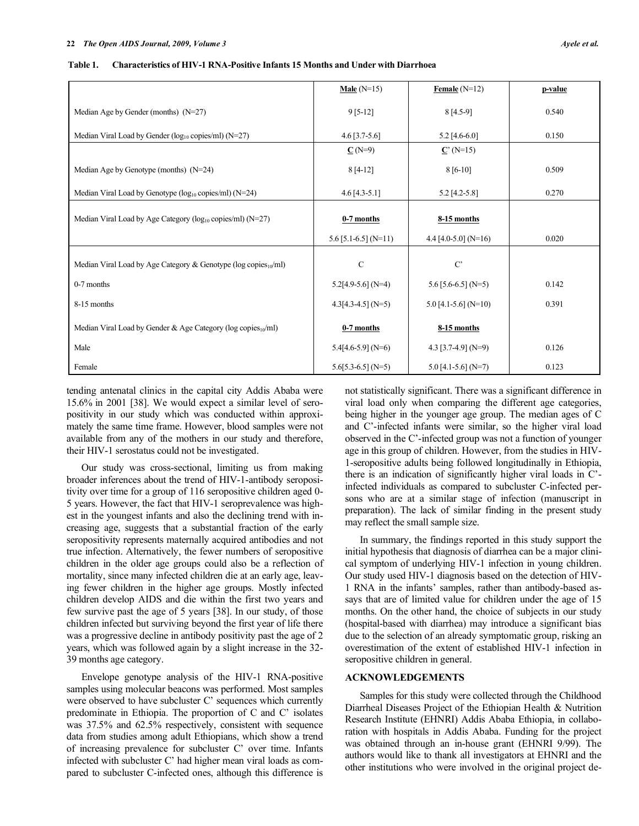|                                                                        | Male $(N=15)$          | Female $(N=12)$          | p-value |
|------------------------------------------------------------------------|------------------------|--------------------------|---------|
| Median Age by Gender (months) $(N=27)$                                 | $9[5-12]$              | $8[4.5-9]$               | 0.540   |
| Median Viral Load by Gender (log10 copies/ml) (N=27)                   | $4.6$ [3.7-5.6]        | $5.2$ [4.6-6.0]          | 0.150   |
|                                                                        | $C(N=9)$               | $C'(N=15)$               |         |
| Median Age by Genotype (months) $(N=24)$                               | $8[4-12]$              | $8[6-10]$                | 0.509   |
| Median Viral Load by Genotype (log10 copies/ml) (N=24)                 | $4.6$ [4.3-5.1]        | 5.2 [4.2-5.8]            | 0.270   |
| Median Viral Load by Age Category (log <sub>10</sub> copies/ml) (N=27) | 0-7 months             | $8-15$ months            |         |
|                                                                        | $5.6$ [5.1-6.5] (N=11) | 4.4 [4.0-5.0] ( $N=16$ ) | 0.020   |
| Median Viral Load by Age Category & Genotype ( $log copies_{10}/ml$ )  | $\mathsf{C}$           | $C^{\prime}$             |         |
| $0-7$ months                                                           | $5.2[4.9-5.6]$ (N=4)   | 5.6 [5.6-6.5] (N=5)      | 0.142   |
| 8-15 months                                                            | $4.3[4.3-4.5]$ (N=5)   | $5.0$ [4.1-5.6] (N=10)   | 0.391   |
| Median Viral Load by Gender & Age Category ( $log copies_{10}/ml$ )    | 0-7 months             | 8-15 months              |         |
| Male                                                                   | $5.4[4.6-5.9]$ (N=6)   | 4.3 $[3.7-4.9]$ (N=9)    | 0.126   |
| Female                                                                 | $5.6[5.3-6.5]$ (N=5)   | $5.0$ [4.1-5.6] (N=7)    | 0.123   |

tending antenatal clinics in the capital city Addis Ababa were 15.6% in 2001 [38]. We would expect a similar level of seropositivity in our study which was conducted within approximately the same time frame. However, blood samples were not available from any of the mothers in our study and therefore, their HIV-1 serostatus could not be investigated.

 Our study was cross-sectional, limiting us from making broader inferences about the trend of HIV-1-antibody seropositivity over time for a group of 116 seropositive children aged 0- 5 years. However, the fact that HIV-1 seroprevalence was highest in the youngest infants and also the declining trend with increasing age, suggests that a substantial fraction of the early seropositivity represents maternally acquired antibodies and not true infection. Alternatively, the fewer numbers of seropositive children in the older age groups could also be a reflection of mortality, since many infected children die at an early age, leaving fewer children in the higher age groups. Mostly infected children develop AIDS and die within the first two years and few survive past the age of 5 years [38]. In our study, of those children infected but surviving beyond the first year of life there was a progressive decline in antibody positivity past the age of 2 years, which was followed again by a slight increase in the 32- 39 months age category.

 Envelope genotype analysis of the HIV-1 RNA-positive samples using molecular beacons was performed. Most samples were observed to have subcluster C' sequences which currently predominate in Ethiopia. The proportion of C and C' isolates was 37.5% and 62.5% respectively, consistent with sequence data from studies among adult Ethiopians, which show a trend of increasing prevalence for subcluster C' over time. Infants infected with subcluster C' had higher mean viral loads as compared to subcluster C-infected ones, although this difference is not statistically significant. There was a significant difference in viral load only when comparing the different age categories, being higher in the younger age group. The median ages of C and C'-infected infants were similar, so the higher viral load observed in the C'-infected group was not a function of younger age in this group of children. However, from the studies in HIV-1-seropositive adults being followed longitudinally in Ethiopia, there is an indication of significantly higher viral loads in C' infected individuals as compared to subcluster C-infected persons who are at a similar stage of infection (manuscript in preparation). The lack of similar finding in the present study may reflect the small sample size.

 In summary, the findings reported in this study support the initial hypothesis that diagnosis of diarrhea can be a major clinical symptom of underlying HIV-1 infection in young children. Our study used HIV-1 diagnosis based on the detection of HIV-1 RNA in the infants' samples, rather than antibody-based assays that are of limited value for children under the age of 15 months. On the other hand, the choice of subjects in our study (hospital-based with diarrhea) may introduce a significant bias due to the selection of an already symptomatic group, risking an overestimation of the extent of established HIV-1 infection in seropositive children in general.

# **ACKNOWLEDGEMENTS**

 Samples for this study were collected through the Childhood Diarrheal Diseases Project of the Ethiopian Health & Nutrition Research Institute (EHNRI) Addis Ababa Ethiopia, in collaboration with hospitals in Addis Ababa. Funding for the project was obtained through an in-house grant (EHNRI 9/99). The authors would like to thank all investigators at EHNRI and the other institutions who were involved in the original project de